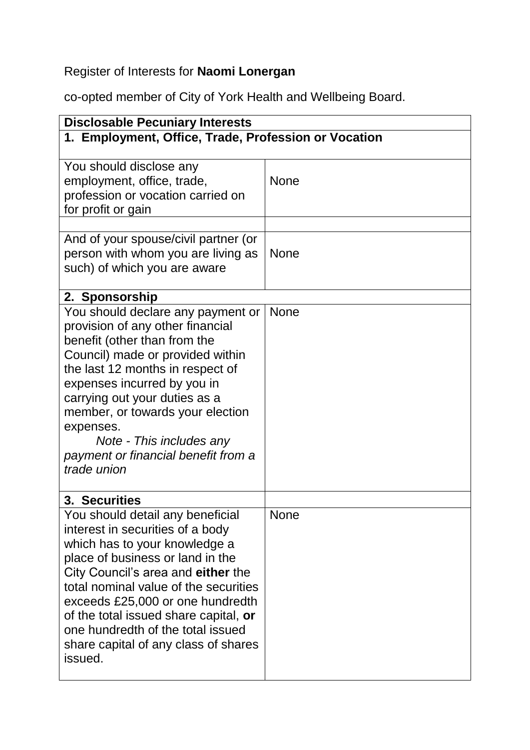## Register of Interests for **Naomi Lonergan**

co-opted member of City of York Health and Wellbeing Board.

| <b>Disclosable Pecuniary Interests</b>                                                                                                                                                                                                                                                                                                                                                                         |             |  |
|----------------------------------------------------------------------------------------------------------------------------------------------------------------------------------------------------------------------------------------------------------------------------------------------------------------------------------------------------------------------------------------------------------------|-------------|--|
| 1. Employment, Office, Trade, Profession or Vocation                                                                                                                                                                                                                                                                                                                                                           |             |  |
| You should disclose any<br>employment, office, trade,<br>profession or vocation carried on<br>for profit or gain                                                                                                                                                                                                                                                                                               | <b>None</b> |  |
| And of your spouse/civil partner (or<br>person with whom you are living as<br>such) of which you are aware                                                                                                                                                                                                                                                                                                     | <b>None</b> |  |
| 2. Sponsorship<br>You should declare any payment or<br>provision of any other financial<br>benefit (other than from the<br>Council) made or provided within<br>the last 12 months in respect of<br>expenses incurred by you in<br>carrying out your duties as a<br>member, or towards your election<br>expenses.<br>Note - This includes any<br>payment or financial benefit from a<br>trade union             | <b>None</b> |  |
| 3. Securities<br>You should detail any beneficial<br>interest in securities of a body<br>which has to your knowledge a<br>place of business or land in the<br>City Council's area and either the<br>total nominal value of the securities<br>exceeds £25,000 or one hundredth<br>of the total issued share capital, or<br>one hundredth of the total issued<br>share capital of any class of shares<br>issued. | None        |  |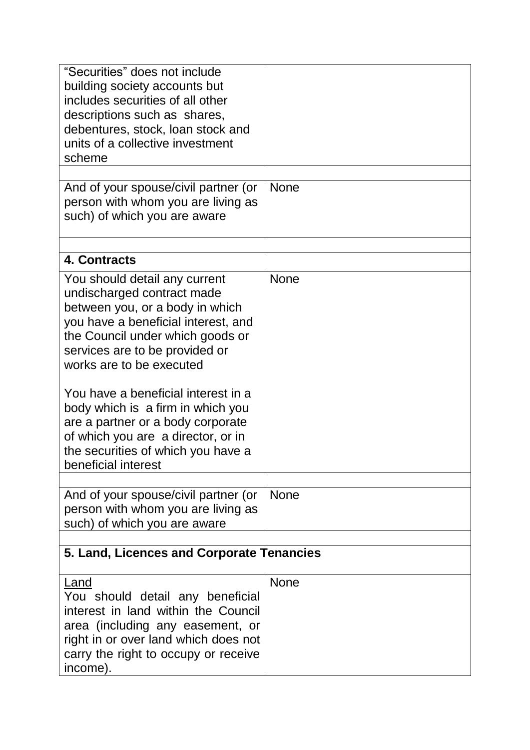| "Securities" does not include<br>building society accounts but<br>includes securities of all other<br>descriptions such as shares,<br>debentures, stock, loan stock and<br>units of a collective investment<br>scheme                                                                                                                                                                                                                                       |             |  |
|-------------------------------------------------------------------------------------------------------------------------------------------------------------------------------------------------------------------------------------------------------------------------------------------------------------------------------------------------------------------------------------------------------------------------------------------------------------|-------------|--|
| And of your spouse/civil partner (or                                                                                                                                                                                                                                                                                                                                                                                                                        | <b>None</b> |  |
| person with whom you are living as<br>such) of which you are aware                                                                                                                                                                                                                                                                                                                                                                                          |             |  |
| 4. Contracts                                                                                                                                                                                                                                                                                                                                                                                                                                                |             |  |
| You should detail any current<br>undischarged contract made<br>between you, or a body in which<br>you have a beneficial interest, and<br>the Council under which goods or<br>services are to be provided or<br>works are to be executed<br>You have a beneficial interest in a<br>body which is a firm in which you<br>are a partner or a body corporate<br>of which you are a director, or in<br>the securities of which you have a<br>beneficial interest | <b>None</b> |  |
| And of your spouse/civil partner (or<br>person with whom you are living as<br>such) of which you are aware                                                                                                                                                                                                                                                                                                                                                  | <b>None</b> |  |
| 5. Land, Licences and Corporate Tenancies                                                                                                                                                                                                                                                                                                                                                                                                                   |             |  |
| Land<br>You should detail any beneficial<br>interest in land within the Council<br>area (including any easement, or<br>right in or over land which does not<br>carry the right to occupy or receive<br>income).                                                                                                                                                                                                                                             | <b>None</b> |  |